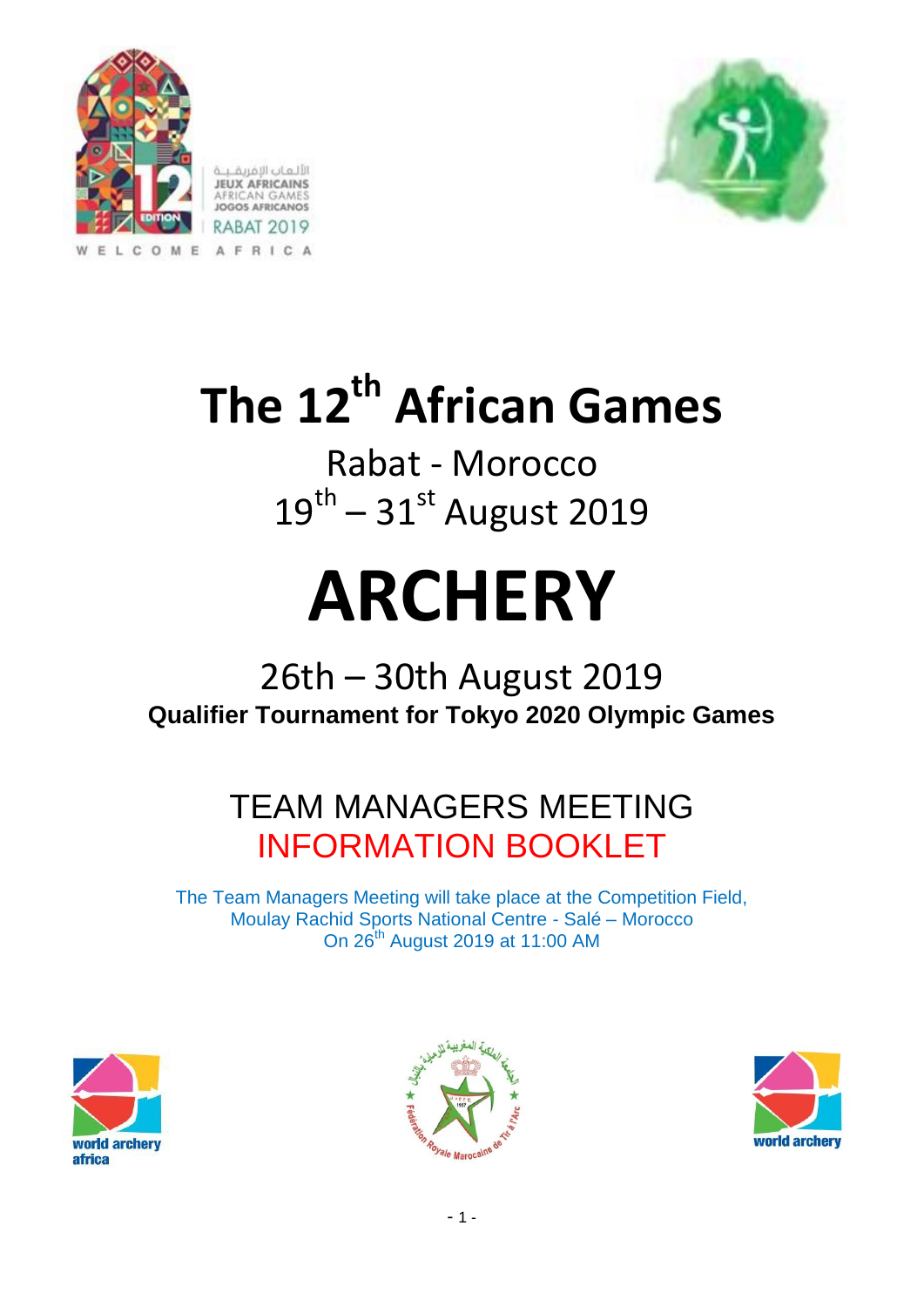



# **The 12th African Games**

Rabat - Morocco  $19^{\text{th}} - 31^{\text{st}}$  August 2019

# **ARCHERY**

# 26th – 30th August 2019 **Qualifier Tournament for Tokyo 2020 Olympic Games**

# TEAM MANAGERS MEETING INFORMATION BOOKLET

The Team Managers Meeting will take place at the Competition Field, Moulay Rachid Sports National Centre - Salé – Morocco On 26th August 2019 at 11:00 AM





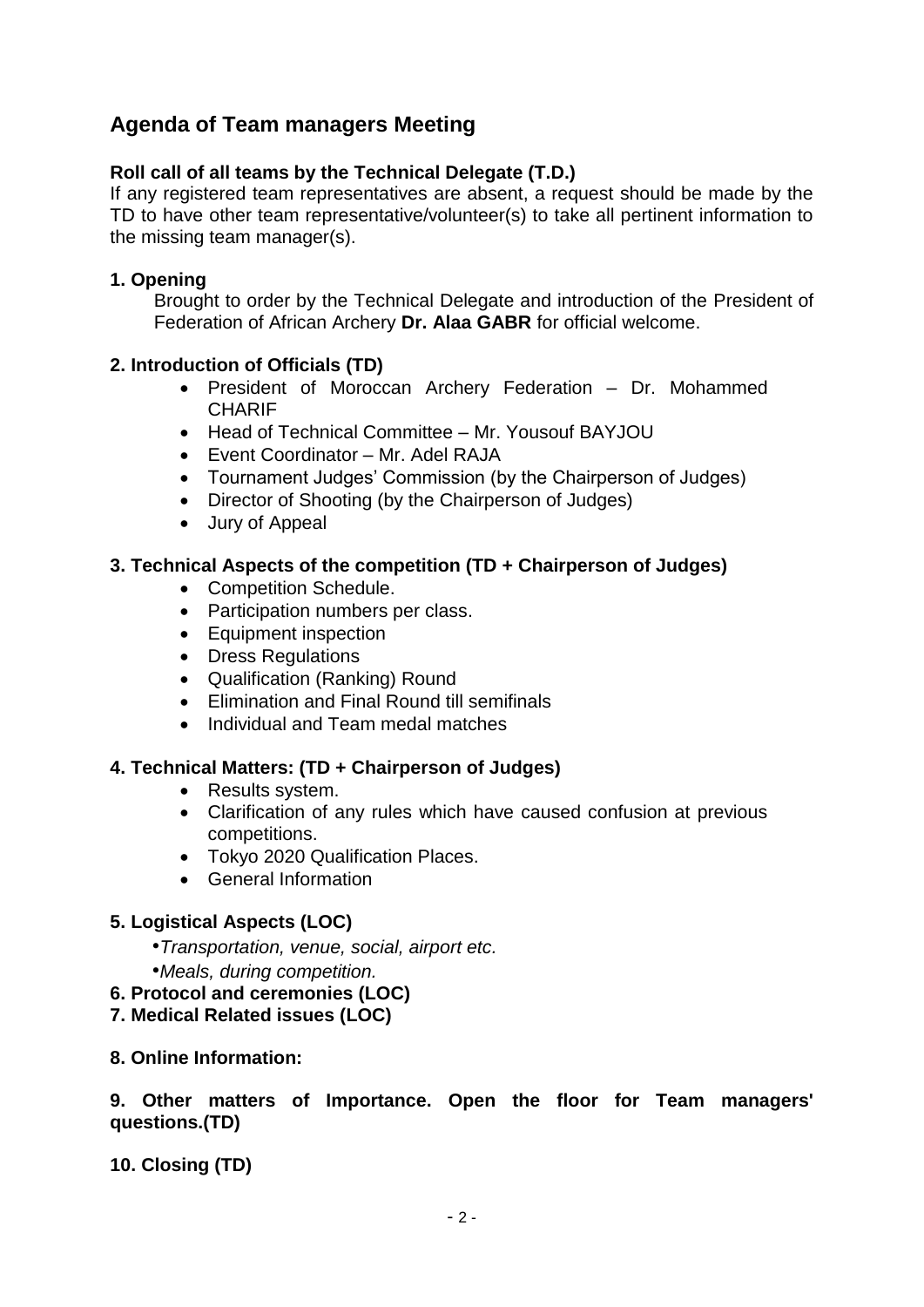# **Agenda of Team managers Meeting**

#### **Roll call of all teams by the Technical Delegate (T.D.)**

If any registered team representatives are absent, a request should be made by the TD to have other team representative/volunteer(s) to take all pertinent information to the missing team manager(s).

#### **1. Opening**

Brought to order by the Technical Delegate and introduction of the President of Federation of African Archery **Dr. Alaa GABR** for official welcome.

#### **2. Introduction of Officials (TD)**

- President of Moroccan Archery Federation Dr. Mohammed **CHARIF**
- Head of Technical Committee Mr. Yousouf BAYJOU
- Event Coordinator Mr. Adel RAJA
- Tournament Judges' Commission (by the Chairperson of Judges)
- Director of Shooting (by the Chairperson of Judges)
- Jury of Appeal

#### **3. Technical Aspects of the competition (TD + Chairperson of Judges)**

- Competition Schedule.
- Participation numbers per class.
- Equipment inspection
- Dress Regulations
- Qualification (Ranking) Round
- Elimination and Final Round till semifinals
- Individual and Team medal matches

#### **4. Technical Matters: (TD + Chairperson of Judges)**

- Results system.
- Clarification of any rules which have caused confusion at previous competitions.
- Tokyo 2020 Qualification Places.
- General Information

#### **5. Logistical Aspects (LOC)**

- *•Transportation, venue, social, airport etc.*
- *•Meals, during competition.*
- **6. Protocol and ceremonies (LOC)**
- **7. Medical Related issues (LOC)**
- **8. Online Information:**

**9. Other matters of Importance. Open the floor for Team managers' questions.(TD)**

**10. Closing (TD)**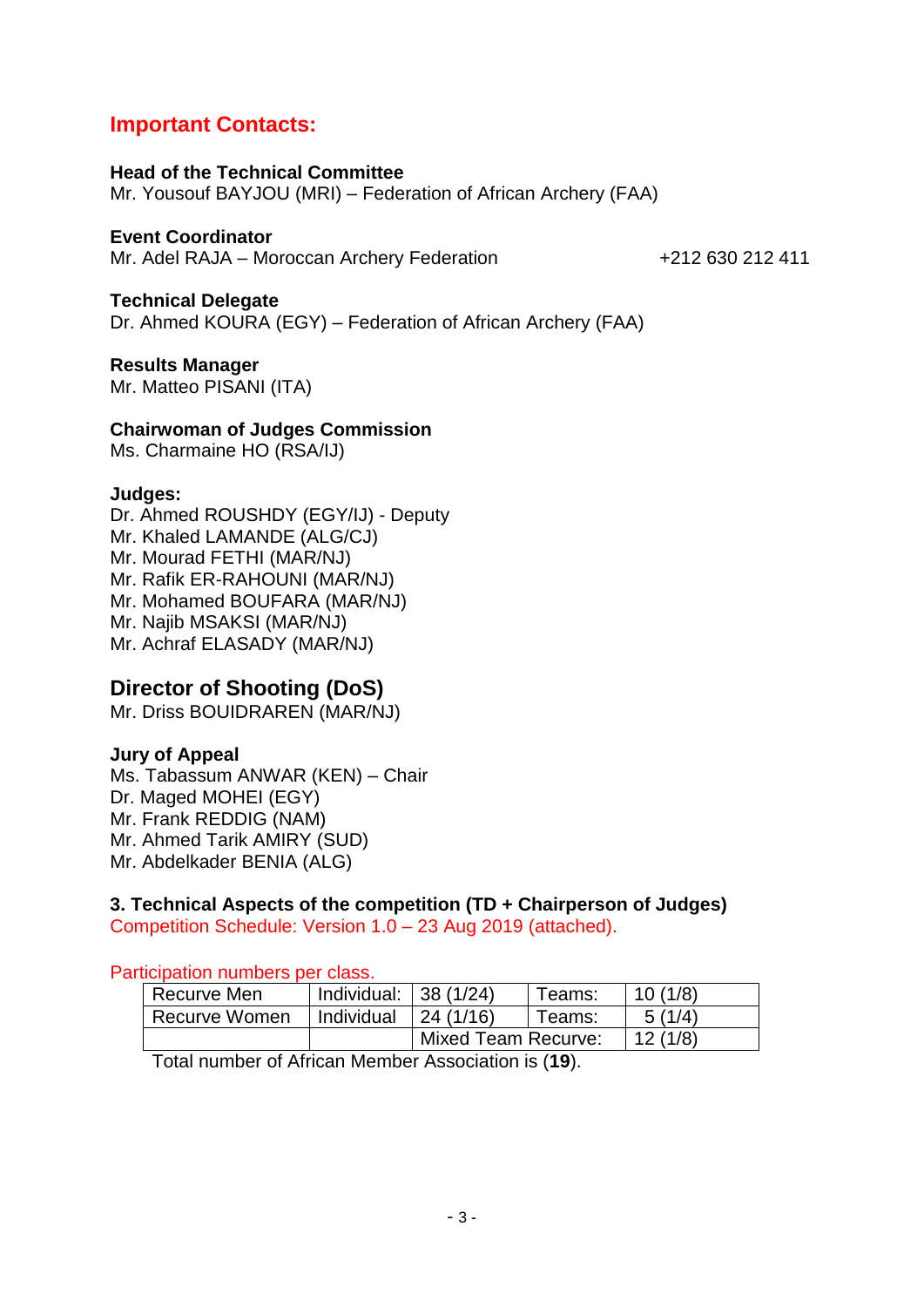# **Important Contacts:**

**Head of the Technical Committee**  Mr. Yousouf BAYJOU (MRI) – Federation of African Archery (FAA)

**Event Coordinator** Mr. Adel RAJA – Moroccan Archery Federation +212 630 212 411

**Technical Delegate** Dr. Ahmed KOURA (EGY) – Federation of African Archery (FAA)

**Results Manager** Mr. Matteo PISANI (ITA)

**Chairwoman of Judges Commission**

Ms. Charmaine HO (RSA/IJ)

#### **Judges:**

Dr. Ahmed ROUSHDY (EGY/IJ) - Deputy Mr. Khaled LAMANDE (ALG/CJ) Mr. Mourad FETHI (MAR/NJ) Mr. Rafik ER-RAHOUNI (MAR/NJ) Mr. Mohamed BOUFARA (MAR/NJ) Mr. Najib MSAKSI (MAR/NJ) Mr. Achraf ELASADY (MAR/NJ)

# **Director of Shooting (DoS)**

Mr. Driss BOUIDRAREN (MAR/NJ)

#### **Jury of Appeal**

Ms. Tabassum ANWAR (KEN) – Chair Dr. Maged MOHEI (EGY) Mr. Frank REDDIG (NAM) Mr. Ahmed Tarik AMIRY (SUD) Mr. Abdelkader BENIA (ALG)

# **3. Technical Aspects of the competition (TD + Chairperson of Judges)**

Competition Schedule: Version 1.0 – 23 Aug 2019 (attached).

Participation numbers per class.

| Recurve Men   | Individual: | 138(1/24)                  | Teams:  | 10(1/8) |
|---------------|-------------|----------------------------|---------|---------|
| Recurve Women | Individual  | 24(1/16)                   | Teams:  | 5(1/4)  |
|               |             | <b>Mixed Team Recurve:</b> | 12(1/8) |         |

Total number of African Member Association is (**19**).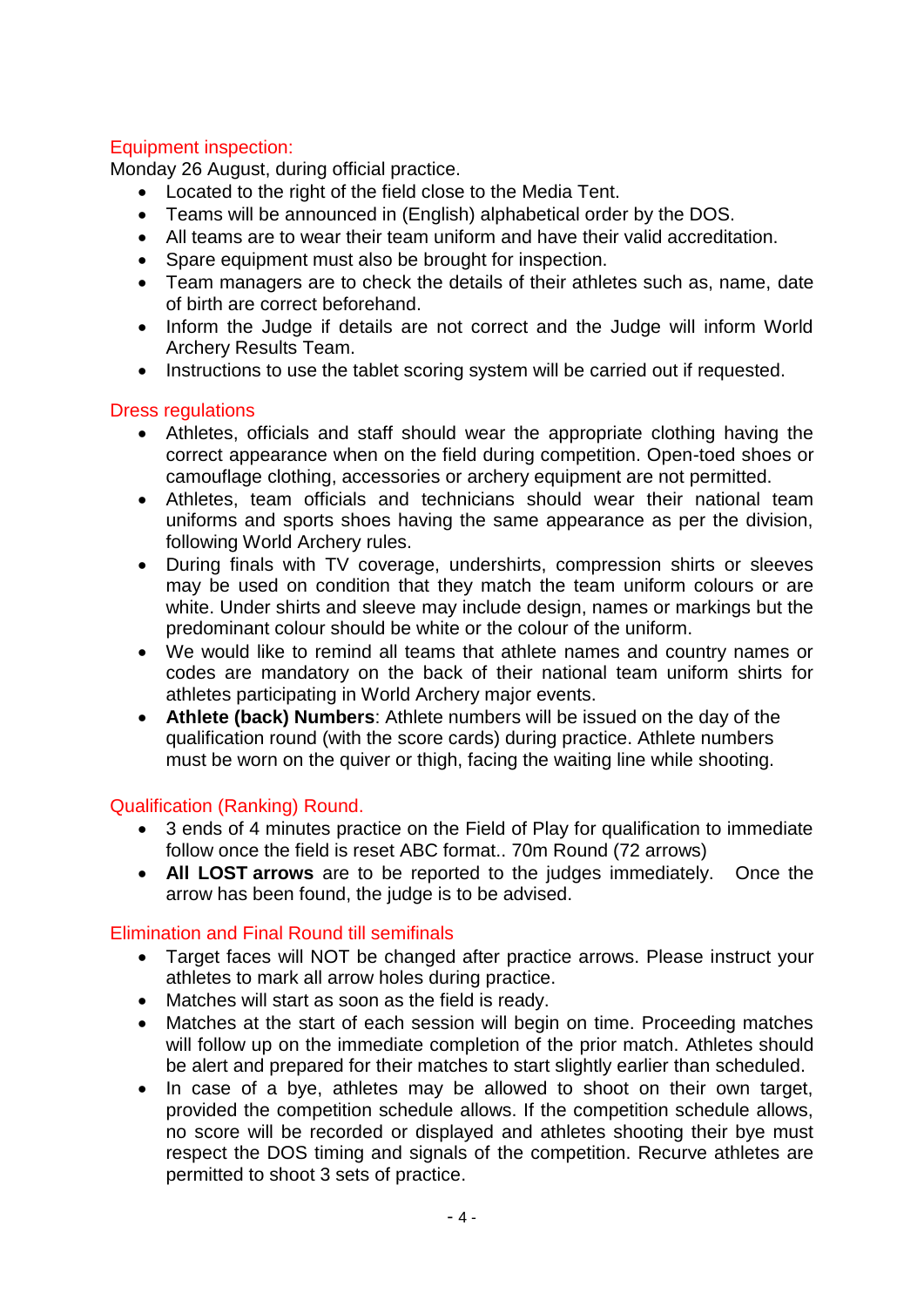#### Equipment inspection:

Monday 26 August, during official practice.

- Located to the right of the field close to the Media Tent.
- Teams will be announced in (English) alphabetical order by the DOS.
- All teams are to wear their team uniform and have their valid accreditation.
- Spare equipment must also be brought for inspection.
- Team managers are to check the details of their athletes such as, name, date of birth are correct beforehand.
- Inform the Judge if details are not correct and the Judge will inform World Archery Results Team.
- Instructions to use the tablet scoring system will be carried out if requested.

#### Dress regulations

- Athletes, officials and staff should wear the appropriate clothing having the correct appearance when on the field during competition. Open-toed shoes or camouflage clothing, accessories or archery equipment are not permitted.
- Athletes, team officials and technicians should wear their national team uniforms and sports shoes having the same appearance as per the division, following World Archery rules.
- During finals with TV coverage, undershirts, compression shirts or sleeves may be used on condition that they match the team uniform colours or are white. Under shirts and sleeve may include design, names or markings but the predominant colour should be white or the colour of the uniform.
- We would like to remind all teams that athlete names and country names or codes are mandatory on the back of their national team uniform shirts for athletes participating in World Archery major events.
- **Athlete (back) Numbers**: Athlete numbers will be issued on the day of the qualification round (with the score cards) during practice. Athlete numbers must be worn on the quiver or thigh, facing the waiting line while shooting.

### Qualification (Ranking) Round.

- 3 ends of 4 minutes practice on the Field of Play for qualification to immediate follow once the field is reset ABC format.. 70m Round (72 arrows)
- **All LOST arrows** are to be reported to the judges immediately. Once the arrow has been found, the judge is to be advised.

### Elimination and Final Round till semifinals

- Target faces will NOT be changed after practice arrows. Please instruct your athletes to mark all arrow holes during practice.
- Matches will start as soon as the field is ready.
- Matches at the start of each session will begin on time. Proceeding matches will follow up on the immediate completion of the prior match. Athletes should be alert and prepared for their matches to start slightly earlier than scheduled.
- In case of a bye, athletes may be allowed to shoot on their own target, provided the competition schedule allows. If the competition schedule allows, no score will be recorded or displayed and athletes shooting their bye must respect the DOS timing and signals of the competition. Recurve athletes are permitted to shoot 3 sets of practice.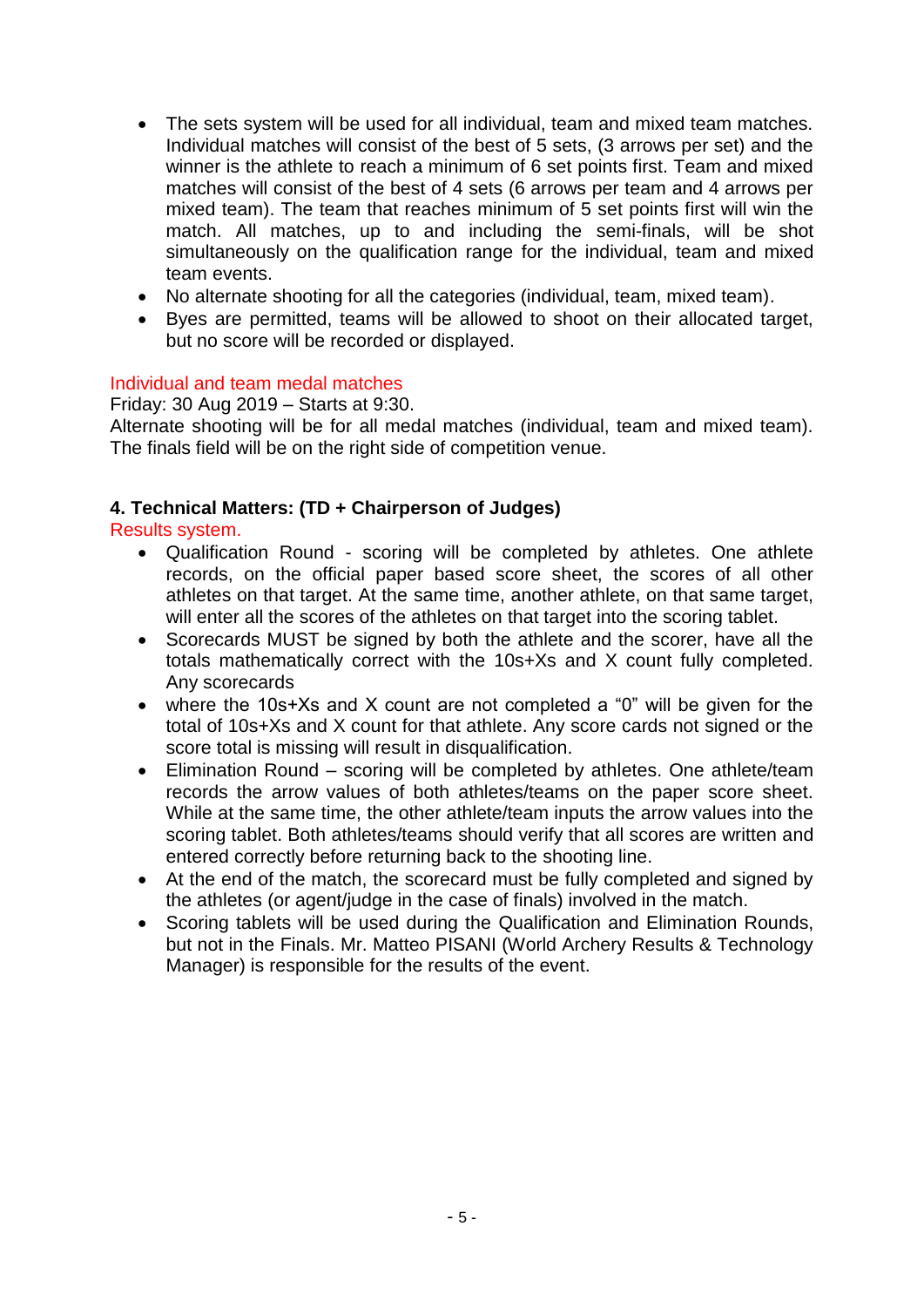- The sets system will be used for all individual, team and mixed team matches. Individual matches will consist of the best of 5 sets, (3 arrows per set) and the winner is the athlete to reach a minimum of 6 set points first. Team and mixed matches will consist of the best of 4 sets (6 arrows per team and 4 arrows per mixed team). The team that reaches minimum of 5 set points first will win the match. All matches, up to and including the semi-finals, will be shot simultaneously on the qualification range for the individual, team and mixed team events.
- No alternate shooting for all the categories (individual, team, mixed team).
- Byes are permitted, teams will be allowed to shoot on their allocated target, but no score will be recorded or displayed.

#### Individual and team medal matches

Friday: 30 Aug 2019 – Starts at 9:30.

Alternate shooting will be for all medal matches (individual, team and mixed team). The finals field will be on the right side of competition venue.

#### **4. Technical Matters: (TD + Chairperson of Judges)**

Results system.

- Qualification Round scoring will be completed by athletes. One athlete records, on the official paper based score sheet, the scores of all other athletes on that target. At the same time, another athlete, on that same target, will enter all the scores of the athletes on that target into the scoring tablet.
- Scorecards MUST be signed by both the athlete and the scorer, have all the totals mathematically correct with the 10s+Xs and X count fully completed. Any scorecards
- where the 10s+Xs and X count are not completed a "0" will be given for the total of 10s+Xs and X count for that athlete. Any score cards not signed or the score total is missing will result in disqualification.
- Elimination Round scoring will be completed by athletes. One athlete/team records the arrow values of both athletes/teams on the paper score sheet. While at the same time, the other athlete/team inputs the arrow values into the scoring tablet. Both athletes/teams should verify that all scores are written and entered correctly before returning back to the shooting line.
- At the end of the match, the scorecard must be fully completed and signed by the athletes (or agent/judge in the case of finals) involved in the match.
- Scoring tablets will be used during the Qualification and Elimination Rounds, but not in the Finals. Mr. Matteo PISANI (World Archery Results & Technology Manager) is responsible for the results of the event.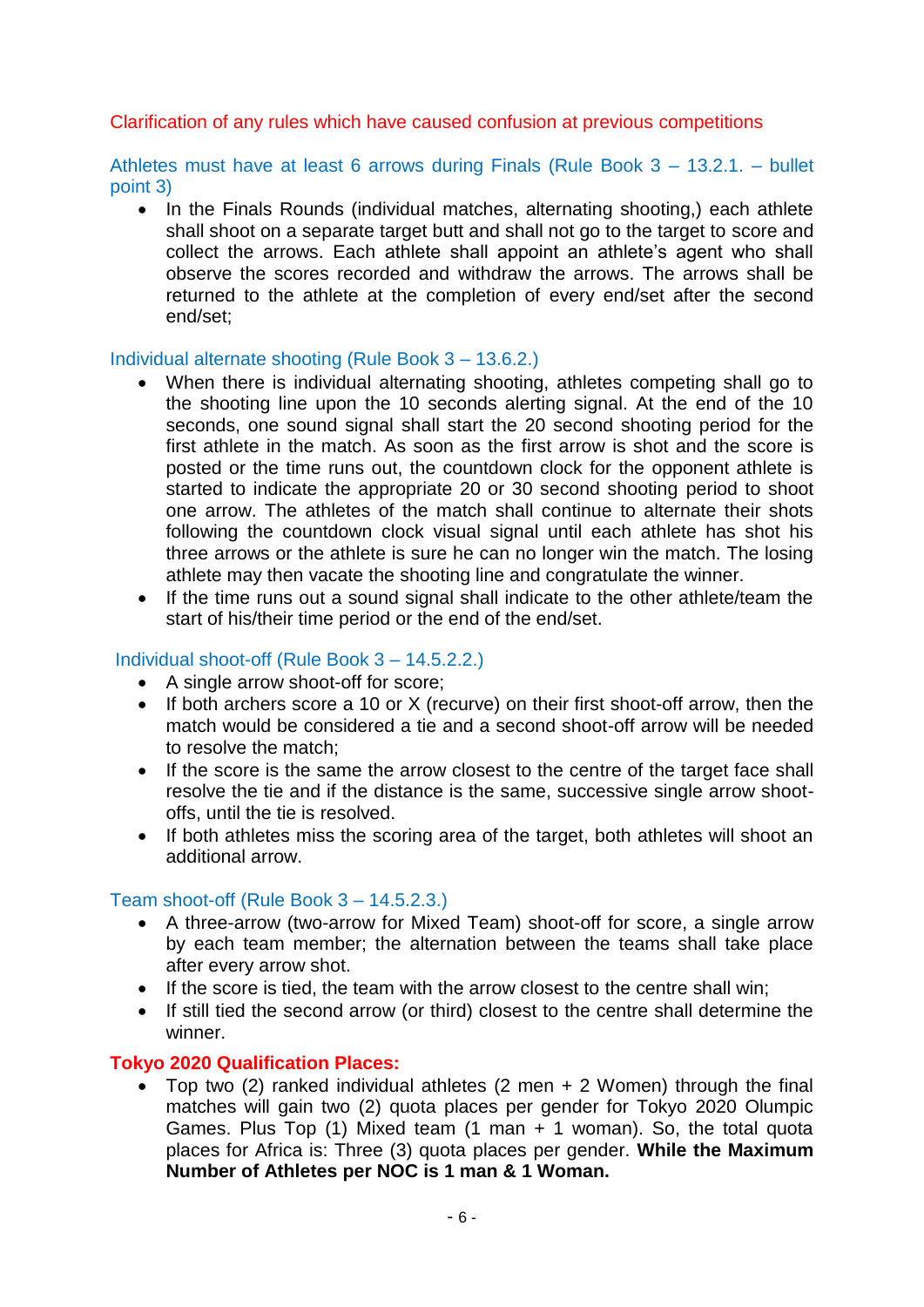#### Clarification of any rules which have caused confusion at previous competitions

Athletes must have at least 6 arrows during Finals (Rule Book 3 – 13.2.1. – bullet point 3)

• In the Finals Rounds (individual matches, alternating shooting,) each athlete shall shoot on a separate target butt and shall not go to the target to score and collect the arrows. Each athlete shall appoint an athlete's agent who shall observe the scores recorded and withdraw the arrows. The arrows shall be returned to the athlete at the completion of every end/set after the second end/set;

#### Individual alternate shooting (Rule Book 3 – 13.6.2.)

- When there is individual alternating shooting, athletes competing shall go to the shooting line upon the 10 seconds alerting signal. At the end of the 10 seconds, one sound signal shall start the 20 second shooting period for the first athlete in the match. As soon as the first arrow is shot and the score is posted or the time runs out, the countdown clock for the opponent athlete is started to indicate the appropriate 20 or 30 second shooting period to shoot one arrow. The athletes of the match shall continue to alternate their shots following the countdown clock visual signal until each athlete has shot his three arrows or the athlete is sure he can no longer win the match. The losing athlete may then vacate the shooting line and congratulate the winner.
- If the time runs out a sound signal shall indicate to the other athlete/team the start of his/their time period or the end of the end/set.

#### Individual shoot-off (Rule Book 3 – 14.5.2.2.)

- A single arrow shoot-off for score;
- If both archers score a 10 or X (recurve) on their first shoot-off arrow, then the match would be considered a tie and a second shoot-off arrow will be needed to resolve the match;
- If the score is the same the arrow closest to the centre of the target face shall resolve the tie and if the distance is the same, successive single arrow shootoffs, until the tie is resolved.
- If both athletes miss the scoring area of the target, both athletes will shoot an additional arrow.

#### Team shoot-off (Rule Book 3 – 14.5.2.3.)

- A three-arrow (two-arrow for Mixed Team) shoot-off for score, a single arrow by each team member; the alternation between the teams shall take place after every arrow shot.
- If the score is tied, the team with the arrow closest to the centre shall win;
- If still tied the second arrow (or third) closest to the centre shall determine the winner.

#### **Tokyo 2020 Qualification Places:**

 Top two (2) ranked individual athletes (2 men + 2 Women) through the final matches will gain two (2) quota places per gender for Tokyo 2020 Olumpic Games. Plus Top (1) Mixed team (1 man + 1 woman). So, the total quota places for Africa is: Three (3) quota places per gender. **While the Maximum Number of Athletes per NOC is 1 man & 1 Woman.**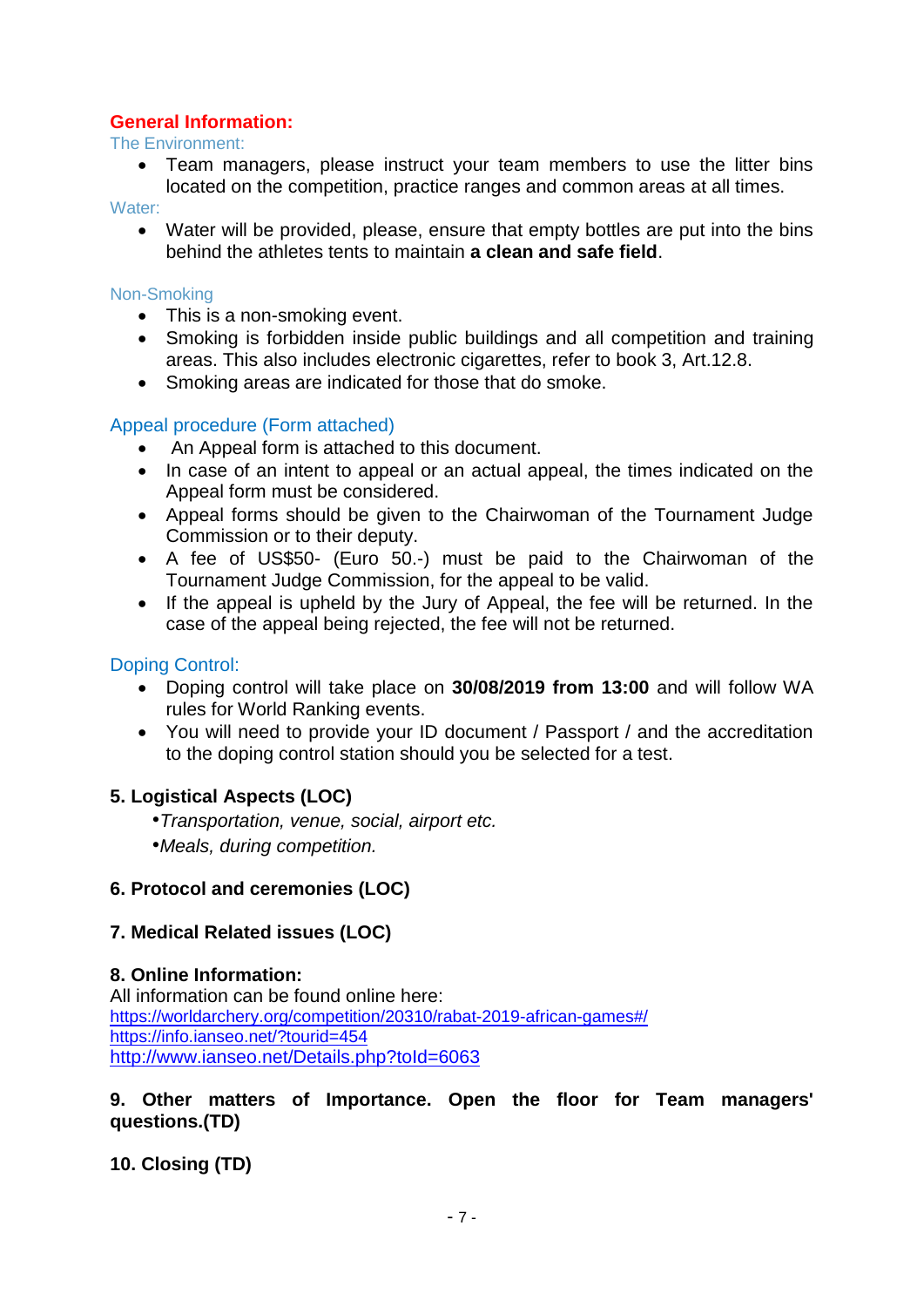#### **General Information:**

The Environment:

 Team managers, please instruct your team members to use the litter bins located on the competition, practice ranges and common areas at all times.

Water:

 Water will be provided, please, ensure that empty bottles are put into the bins behind the athletes tents to maintain **a clean and safe field**.

#### Non-Smoking

- This is a non-smoking event.
- Smoking is forbidden inside public buildings and all competition and training areas. This also includes electronic cigarettes, refer to book 3, Art.12.8.
- Smoking areas are indicated for those that do smoke.

#### Appeal procedure (Form attached)

- An Appeal form is attached to this document.
- In case of an intent to appeal or an actual appeal, the times indicated on the Appeal form must be considered.
- Appeal forms should be given to the Chairwoman of the Tournament Judge Commission or to their deputy.
- A fee of US\$50- (Euro 50.-) must be paid to the Chairwoman of the Tournament Judge Commission, for the appeal to be valid.
- If the appeal is upheld by the Jury of Appeal, the fee will be returned. In the case of the appeal being rejected, the fee will not be returned.

#### Doping Control:

- Doping control will take place on **30/08/2019 from 13:00** and will follow WA rules for World Ranking events.
- You will need to provide your ID document / Passport / and the accreditation to the doping control station should you be selected for a test.

#### **5. Logistical Aspects (LOC)**

- *•Transportation, venue, social, airport etc.*
- *•Meals, during competition.*

#### **6. Protocol and ceremonies (LOC)**

#### **7. Medical Related issues (LOC)**

#### **8. Online Information:**

All information can be found online here: <https://worldarchery.org/competition/20310/rabat-2019-african-games#/> <https://info.ianseo.net/?tourid=454> <http://www.ianseo.net/Details.php?toId=6063>

#### **9. Other matters of Importance. Open the floor for Team managers' questions.(TD)**

**10. Closing (TD)**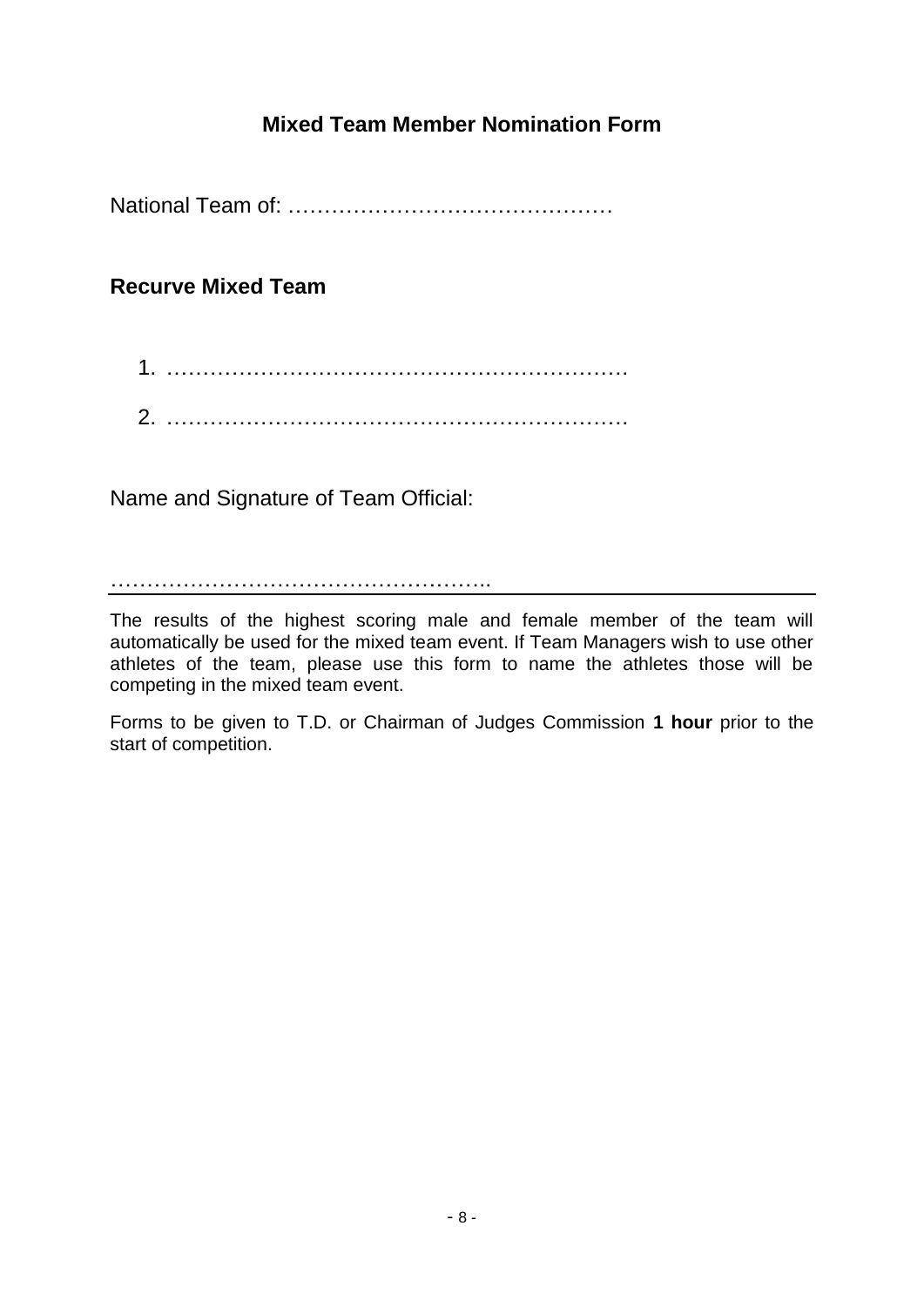# **Mixed Team Member Nomination Form**

National Team of: ………………………………………

# **Recurve Mixed Team**

| 2. |  |  |  |  |
|----|--|--|--|--|

Name and Signature of Team Official:

……………………………………………..

The results of the highest scoring male and female member of the team will automatically be used for the mixed team event. If Team Managers wish to use other athletes of the team, please use this form to name the athletes those will be competing in the mixed team event.

Forms to be given to T.D. or Chairman of Judges Commission **1 hour** prior to the start of competition.